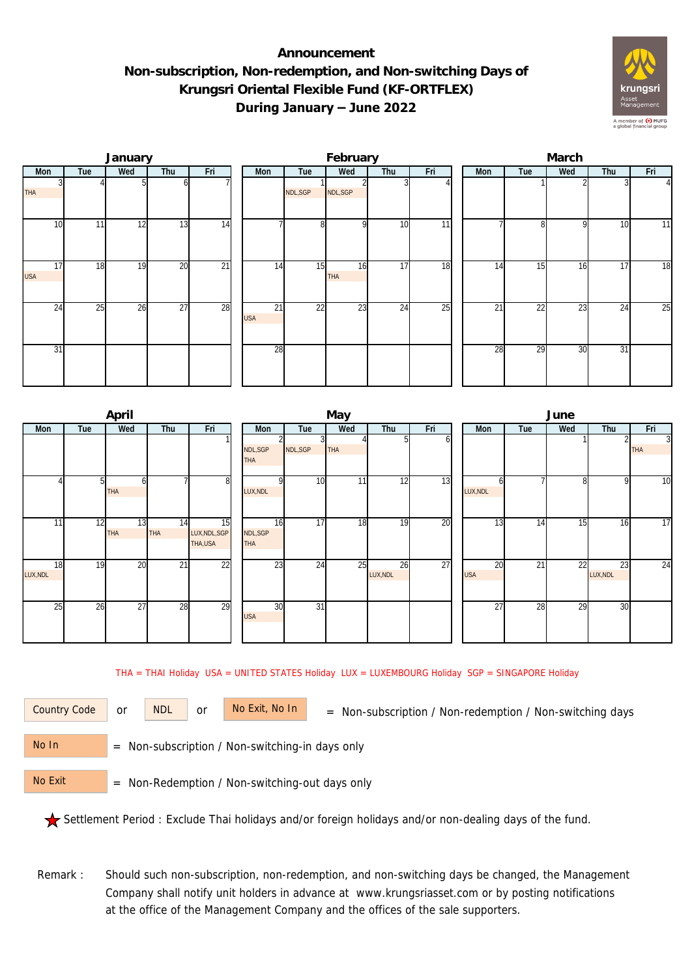## **Announcement Non-subscription, Non-redemption, and Non-switching Days of Krungsri Oriental Flexible Fund (KF-ORTFLEX) During January – June 2022**



|                  |     | January |                 |                 |                               |                | February         |     |     | March |                 |     |     |                |  |  |
|------------------|-----|---------|-----------------|-----------------|-------------------------------|----------------|------------------|-----|-----|-------|-----------------|-----|-----|----------------|--|--|
| Mon              | Tue | Wed     | Thu             | Fri             | Mon                           | Tue            | Wed              | Thu | Fri | Mon   | Tue             | Wed | Thu | Fri            |  |  |
| <b>THA</b>       |     |         |                 |                 |                               | NDL, SGP       | NDL,SGP          |     |     |       |                 |     |     | 4 <sub>l</sub> |  |  |
| 10               | 11  | 12      | 13              | 14              |                               | 8 <sup>1</sup> | O                | 10  | 11  |       | $\Omega$        | Q   | 10  | 11             |  |  |
| 17<br><b>USA</b> | 18  | 19      | 20              | $\overline{21}$ | 14                            | 15             | 16<br><b>THA</b> | 17  | 18  | 14    | 15              | 16  | 17  | 18             |  |  |
| 24               | 25  | 26      | $\overline{27}$ | 28              | $\overline{21}$<br><b>USA</b> | 22             | 23               | 24  | 25  | 21    | $\overline{22}$ | 23  | 24  | 25             |  |  |
| 31               |     |         |                 |                 | 28                            |                |                  |     |     | 28    | $\overline{29}$ | 30  | 31  |                |  |  |

|                |     | April            |                  |                                 |                              |                 | May |                |     | June             |                 |     |                |                              |  |  |
|----------------|-----|------------------|------------------|---------------------------------|------------------------------|-----------------|-----|----------------|-----|------------------|-----------------|-----|----------------|------------------------------|--|--|
| Mon            | Tue | Wed              | Thu              | Fri                             | Mon                          | Tue             | Wed | Thu            | Fri | Mon              | Tue             | Wed | Thu            | Fri                          |  |  |
|                |     |                  |                  |                                 | NDL, SGP<br><b>THA</b>       | NDL, SGP        | THA |                |     |                  |                 |     |                | $\overline{3}$<br><b>THA</b> |  |  |
|                |     | ΩI<br><b>THA</b> |                  | 8                               | LUX, NDL                     | 10 <sup>1</sup> | 11  | 12             | 13  | LUX, NDL         |                 | 8   | 9              | 10                           |  |  |
| 11             | 12  | 13<br><b>THA</b> | 14<br><b>THA</b> | 15<br>LUX, NDL, SGP<br>THA, USA | 16<br>NDL, SGP<br><b>THA</b> | 17              | 18  | 19             | 20  | 13               | 14              | 15  | 16             | 17                           |  |  |
| 18<br>LUX, NDL | 19  | 20               | $\overline{21}$  | 22                              | 23                           | 24              | 25  | 26<br>LUX, NDL | 27  | 20<br><b>USA</b> | $\overline{21}$ | 22  | 23<br>LUX, NDL | 24                           |  |  |
| 25             | 26  | 27               | 28               | 29                              | 30<br><b>USA</b>             | 31              |     |                |     | 27               | 28              | 29  | 30             |                              |  |  |

THA = THAI Holiday USA = UNITED STATES Holiday LUX = LUXEMBOURG Holiday SGP = SINGAPORE Holiday

or NDL or

Country Code or NDL or No Exit, No In = Non-subscription / Non-redemption / Non-switching days

 = Non-subscription / Non-switching-in days only No In

 = Non-Redemption / Non-switching-out days only No Exit

Settlement Period : Exclude Thai holidays and/or foreign holidays and/or non-dealing days of the fund.

Remark : Should such non-subscription, non-redemption, and non-switching days be changed, the Management Company shall notify unit holders in advance at www.krungsriasset.com or by posting notifications at the office of the Management Company and the offices of the sale supporters.